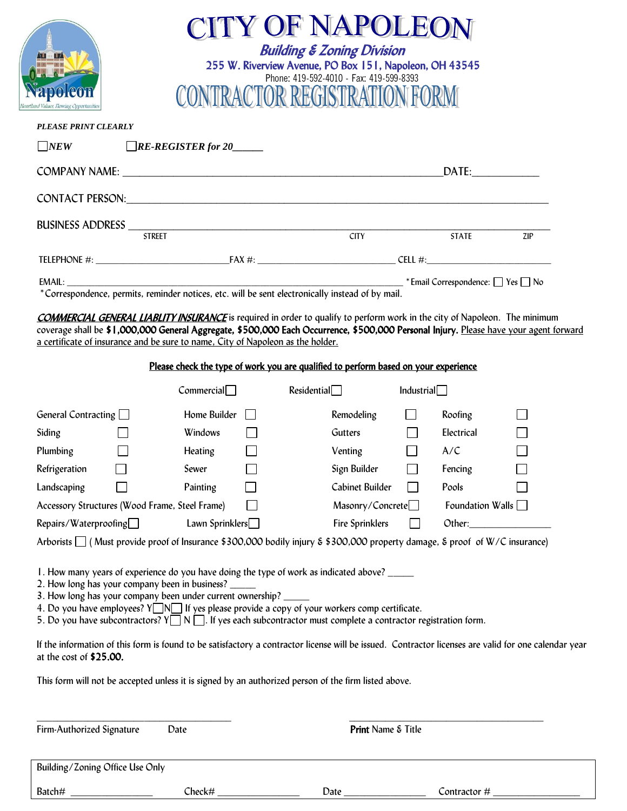| CITY OF NAPOLEON<br><b>Building &amp; Zoning Division</b><br>255 W. Riverview Avenue, PO Box 151, Napoleon, OH 43545<br>Phone: 419-592-4010 - Fax: 419-599-8393<br><b>TRACTOR REGISTRATION F</b><br>nd Values. Flowing Opportuni                                                                                                                                                                                                                                                                                                                                                                                                          |                                                                                                                                                                                                                               |                                 |            |                           |     |  |
|-------------------------------------------------------------------------------------------------------------------------------------------------------------------------------------------------------------------------------------------------------------------------------------------------------------------------------------------------------------------------------------------------------------------------------------------------------------------------------------------------------------------------------------------------------------------------------------------------------------------------------------------|-------------------------------------------------------------------------------------------------------------------------------------------------------------------------------------------------------------------------------|---------------------------------|------------|---------------------------|-----|--|
| <b>PLEASE PRINT CLEARLY</b>                                                                                                                                                                                                                                                                                                                                                                                                                                                                                                                                                                                                               |                                                                                                                                                                                                                               |                                 |            |                           |     |  |
| $\neg_{NEW}$                                                                                                                                                                                                                                                                                                                                                                                                                                                                                                                                                                                                                              | $\Box$ RE-REGISTER for 20                                                                                                                                                                                                     |                                 |            |                           |     |  |
|                                                                                                                                                                                                                                                                                                                                                                                                                                                                                                                                                                                                                                           |                                                                                                                                                                                                                               |                                 |            | DATE:                     |     |  |
|                                                                                                                                                                                                                                                                                                                                                                                                                                                                                                                                                                                                                                           | CONTACT PERSON: University of the contract of the contract of the contract of the contract of the contract of the contract of the contract of the contract of the contract of the contract of the contract of the contract of |                                 |            |                           |     |  |
|                                                                                                                                                                                                                                                                                                                                                                                                                                                                                                                                                                                                                                           |                                                                                                                                                                                                                               |                                 |            |                           |     |  |
|                                                                                                                                                                                                                                                                                                                                                                                                                                                                                                                                                                                                                                           |                                                                                                                                                                                                                               |                                 |            | $\overline{\text{STATE}}$ | ZIP |  |
|                                                                                                                                                                                                                                                                                                                                                                                                                                                                                                                                                                                                                                           |                                                                                                                                                                                                                               |                                 |            |                           |     |  |
| <b>COMMERCIAL GENERAL LIABLITY INSURANCE</b> is required in order to qualify to perform work in the city of Napoleon. The minimum<br>coverage shall be \$1,000,000 General Aggregate, \$500,000 Each Occurrence, \$500,000 Personal Injury. Please have your agent forward<br>a certificate of insurance and be sure to name, City of Napoleon as the holder.                                                                                                                                                                                                                                                                             |                                                                                                                                                                                                                               |                                 |            |                           |     |  |
|                                                                                                                                                                                                                                                                                                                                                                                                                                                                                                                                                                                                                                           | Please check the type of work you are qualified to perform based on your experience                                                                                                                                           |                                 |            |                           |     |  |
|                                                                                                                                                                                                                                                                                                                                                                                                                                                                                                                                                                                                                                           | Commercial                                                                                                                                                                                                                    | Residental                      | Industrial |                           |     |  |
| General Contracting $\Box$                                                                                                                                                                                                                                                                                                                                                                                                                                                                                                                                                                                                                | Home Builder $\Box$                                                                                                                                                                                                           | Remodeling                      | $\perp$    | Roofing                   |     |  |
| Siding                                                                                                                                                                                                                                                                                                                                                                                                                                                                                                                                                                                                                                    | Windows                                                                                                                                                                                                                       | Gutters                         |            | Electrical                |     |  |
| Plumbing                                                                                                                                                                                                                                                                                                                                                                                                                                                                                                                                                                                                                                  | <b>Heating</b>                                                                                                                                                                                                                | Venting                         |            | A/C                       |     |  |
| Refrigeration                                                                                                                                                                                                                                                                                                                                                                                                                                                                                                                                                                                                                             | Sewer                                                                                                                                                                                                                         | Sign Builder                    |            | Fencing                   |     |  |
| Landscaping                                                                                                                                                                                                                                                                                                                                                                                                                                                                                                                                                                                                                               | Painting                                                                                                                                                                                                                      | Cabinet Builder                 |            | Pools                     |     |  |
| Accessory Structures (Wood Frame, Steel Frame)                                                                                                                                                                                                                                                                                                                                                                                                                                                                                                                                                                                            |                                                                                                                                                                                                                               | Masonry/Concrete <sup>[1]</sup> |            | Foundation Walls $\Box$   |     |  |
| Repairs/Waterproofing                                                                                                                                                                                                                                                                                                                                                                                                                                                                                                                                                                                                                     | Lawn Sprinklers <sup>1</sup>                                                                                                                                                                                                  | Fire Sprinklers                 |            | Other:                    |     |  |
|                                                                                                                                                                                                                                                                                                                                                                                                                                                                                                                                                                                                                                           | Arborists $\Box$ (Must provide proof of Insurance \$300,000 bodily injury $\&$ \$300,000 property damage, $\&$ proof of W/C insurance)                                                                                        |                                 |            |                           |     |  |
| 1. How many years of experience do you have doing the type of work as indicated above? ______<br>2. How long has your company been in business?<br>3. How long has your company been under current ownership? _<br>4. Do you have employees? Y N If yes please provide a copy of your workers comp certificate.<br>5. Do you have subcontractors? $Y \square \cap Y \square$ . If yes each subcontractor must complete a contractor registration form.<br>If the information of this form is found to be satisfactory a contractor license will be issued. Contractor licenses are valid for one calendar year<br>at the cost of \$25.00. |                                                                                                                                                                                                                               |                                 |            |                           |     |  |
| This form will not be accepted unless it is signed by an authorized person of the firm listed above.                                                                                                                                                                                                                                                                                                                                                                                                                                                                                                                                      |                                                                                                                                                                                                                               |                                 |            |                           |     |  |
| Firm-Authorized Signature                                                                                                                                                                                                                                                                                                                                                                                                                                                                                                                                                                                                                 | Date                                                                                                                                                                                                                          | Print Name & Title              |            |                           |     |  |
| Building/Zoning Office Use Only                                                                                                                                                                                                                                                                                                                                                                                                                                                                                                                                                                                                           |                                                                                                                                                                                                                               |                                 |            |                           |     |  |

| $D -$<br>Bat | apcv | Jatr<br>_ | $\cdots$<br>$\overline{\phantom{a}}$ |
|--------------|------|-----------|--------------------------------------|
|              |      |           |                                      |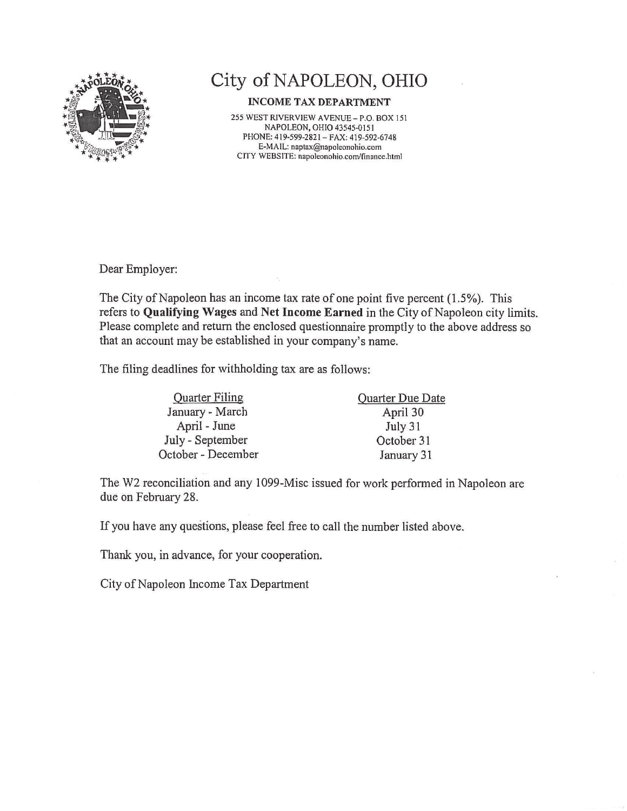

## City of NAPOLEON, OHIO

## **INCOME TAX DEPARTMENT**

255 WEST RIVERVIEW AVENUE - P.O. BOX 151 NAPOLEON, OHIO 43545-0151 PHONE: 419-599-2821 - FAX: 419-592-6748 E-MAIL: naptax@napoleonohio.com CITY WEBSITE: napoleonohio.com/finance.html

Dear Employer:

The City of Napoleon has an income tax rate of one point five percent (1.5%). This refers to Qualifying Wages and Net Income Earned in the City of Napoleon city limits. Please complete and return the enclosed questionnaire promptly to the above address so that an account may be established in your company's name.

The filing deadlines for withholding tax are as follows:

| <b>Quarter Filing</b> | Quarter Due Date |  |  |
|-----------------------|------------------|--|--|
| January - March       | April 30         |  |  |
| April - June          | July 31          |  |  |
| July - September      | October 31       |  |  |
| October - December    | January 31       |  |  |

The W2 reconciliation and any 1099-Misc issued for work performed in Napoleon are due on February 28.

If you have any questions, please feel free to call the number listed above.

Thank you, in advance, for your cooperation.

City of Napoleon Income Tax Department